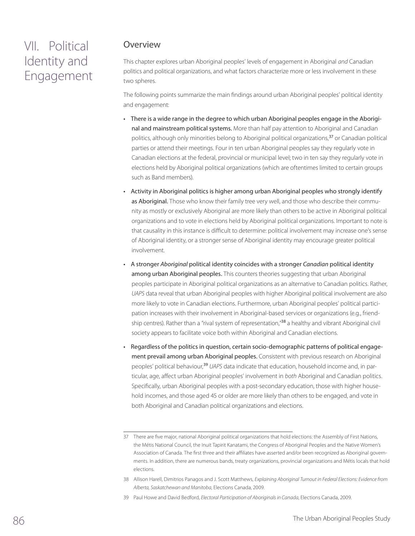# VII. Political Identity and Engagement

### Overview

This chapter explores urban Aboriginal peoples' levels of engagement in Aboriginal *and* Canadian politics and political organizations, and what factors characterize more or less involvement in these two spheres.

The following points summarize the main findings around urban Aboriginal peoples' political identity and engagement:

- There is a wide range in the degree to which urban Aboriginal peoples engage in the Aboriginal and mainstream political systems. More than half pay attention to Aboriginal and Canadian politics, although only minorities belong to Aboriginal political organizations,<sup>37</sup> or Canadian political parties or attend their meetings. Four in ten urban Aboriginal peoples say they regularly vote in Canadian elections at the federal, provincial or municipal level; two in ten say they regularly vote in elections held by Aboriginal political organizations (which are oftentimes limited to certain groups such as Band members).
- Activity in Aboriginal politics is higher among urban Aboriginal peoples who strongly identify as Aboriginal. Those who know their family tree very well, and those who describe their community as mostly or exclusively Aboriginal are more likely than others to be active in Aboriginal political organizations and to vote in elections held by Aboriginal political organizations. Important to note is that causality in this instance is difficult to determine: political involvement may increase one's sense of Aboriginal identity, or a stronger sense of Aboriginal identity may encourage greater political involvement.
- A stronger *Aboriginal* political identity coincides with a stronger *Canadian* political identity among urban Aboriginal peoples. This counters theories suggesting that urban Aboriginal peoples participate in Aboriginal political organizations as an alternative to Canadian politics. Rather, *UAPS* data reveal that urban Aboriginal peoples with higher Aboriginal political involvement are also more likely to vote in Canadian elections. Furthermore, urban Aboriginal peoples' political participation increases with their involvement in Aboriginal-based services or organizations (e.g., friendship centres). Rather than a "rival system of representation,"<sup>38</sup> a healthy and vibrant Aboriginal civil society appears to facilitate voice both within Aboriginal and Canadian elections.
- Regardless of the politics in question, certain socio-demographic patterns of political engagement prevail among urban Aboriginal peoples. Consistent with previous research on Aboriginal peoples' political behaviour,<sup>39</sup> *UAPS* data indicate that education, household income and, in particular, age, affect urban Aboriginal peoples' involvement in *both* Aboriginal and Canadian politics. Specifically, urban Aboriginal peoples with a post-secondary education, those with higher household incomes, and those aged 45 or older are more likely than others to be engaged, and vote in both Aboriginal and Canadian political organizations and elections.

<sup>37</sup> There are five major, national Aboriginal political organizations that hold elections: the Assembly of First Nations, the Métis National Council, the Inuit Tapirit Kanatami, the Congress of Aboriginal Peoples and the Native Women's Association of Canada. The first three and their affiliates have asserted and/or been recognized as Aboriginal governments. In addition, there are numerous bands, treaty organizations, provincial organizations and Métis locals that hold elections.

<sup>38</sup> Allison Harell, Dimitrios Panagos and J. Scott Matthews, *Explaining Aboriginal Turnout in Federal Elections: Evidence from Alberta, Saskatchewan and Manitoba*, Elections Canada, 2009.

<sup>39</sup> Paul Howe and David Bedford, *Electoral Participation of Aboriginals in Canada*, Elections Canada, 2009.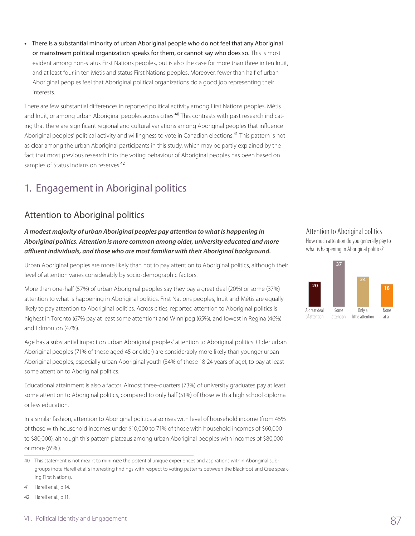**•**  There is a substantial minority of urban Aboriginal people who do not feel that any Aboriginal or mainstream political organization speaks for them, or cannot say who does so. This is most evident among non-status First Nations peoples, but is also the case for more than three in ten Inuit, and at least four in ten Métis and status First Nations peoples. Moreover, fewer than half of urban Aboriginal peoples feel that Aboriginal political organizations do a good job representing their interests.

There are few substantial differences in reported political activity among First Nations peoples, Métis and Inuit, or among urban Aboriginal peoples across cities.<sup>40</sup> This contrasts with past research indicating that there are significant regional and cultural variations among Aboriginal peoples that influence Aboriginal peoples' political activity and willingness to vote in Canadian elections.<sup>41</sup> This pattern is not as clear among the urban Aboriginal participants in this study, which may be partly explained by the fact that most previous research into the voting behaviour of Aboriginal peoples has been based on samples of Status Indians on reserves.<sup>42</sup>

# 1. Engagement in Aboriginal politics

### Attention to Aboriginal politics

*A modest majority of urban Aboriginal peoples pay attention to what is happening in Aboriginal politics. Attention is more common among older, university educated and more affluent individuals, and those who are most familiar with their Aboriginal background.*

Urban Aboriginal peoples are more likely than not to pay attention to Aboriginal politics, although their level of attention varies considerably by socio-demographic factors.

More than one-half (57%) of urban Aboriginal peoples say they pay a great deal (20%) or some (37%) attention to what is happening in Aboriginal politics. First Nations peoples, Inuit and Métis are equally likely to pay attention to Aboriginal politics. Across cities, reported attention to Aboriginal politics is highest in Toronto (67% pay at least some attention) and Winnipeg (65%), and lowest in Regina (46%) and Edmonton (47%).

Age has a substantial impact on urban Aboriginal peoples' attention to Aboriginal politics. Older urban Aboriginal peoples (71% of those aged 45 or older) are considerably more likely than younger urban Aboriginal peoples, especially urban Aboriginal youth (34% of those 18-24 years of age), to pay at least some attention to Aboriginal politics.

Educational attainment is also a factor. Almost three-quarters (73%) of university graduates pay at least some attention to Aboriginal politics, compared to only half (51%) of those with a high school diploma or less education.

In a similar fashion, attention to Aboriginal politics also rises with level of household income (from 45% of those with household incomes under \$10,000 to 71% of those with household incomes of \$60,000 to \$80,000), although this pattern plateaus among urban Aboriginal peoples with incomes of \$80,000 or more (65%).

41 Harell et al., p.14.

42 Harell et al., p.11.

### Attention to Aboriginal politics How much attention do you generally pay to

what is happening in Aboriginal politics?



<sup>40</sup> This statement is not meant to minimize the potential unique experiences and aspirations within Aboriginal subgroups (note Harell et al.'s interesting findings with respect to voting patterns between the Blackfoot and Cree speaking First Nations).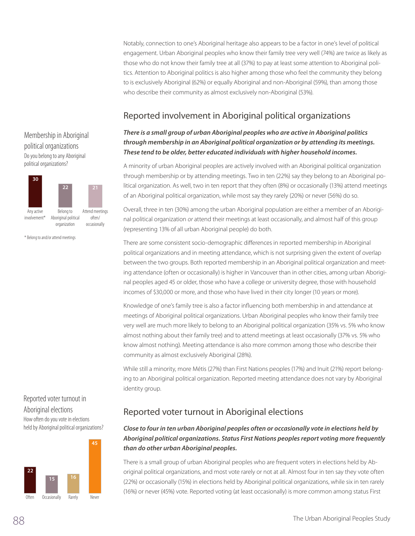Notably, connection to one's Aboriginal heritage also appears to be a factor in one's level of political engagement. Urban Aboriginal peoples who know their family tree very well (74%) are twice as likely as those who do not know their family tree at all (37%) to pay at least some attention to Aboriginal politics. Attention to Aboriginal politics is also higher among those who feel the community they belong to is exclusively Aboriginal (62%) or equally Aboriginal and non-Aboriginal (59%), than among those who describe their community as almost exclusively non-Aboriginal (53%).

## Reported involvement in Aboriginal political organizations

### There is a small group of urban Aboriginal peoples who are active in Aboriginal politics *through membership in an Aboriginal political organization or by attending its meetings. These tend to be older, better educated individuals with higher household incomes.*

A minority of urban Aboriginal peoples are actively involved with an Aboriginal political organization through membership or by attending meetings. Two in ten (22%) say they belong to an Aboriginal political organization. As well, two in ten report that they often (8%) or occasionally (13%) attend meetings of an Aboriginal political organization, while most say they rarely (20%) or never (56%) do so.

Overall, three in ten (30%) among the urban Aboriginal population are either a member of an Aboriginal political organization *or* attend their meetings at least occasionally, and almost half of this group (representing 13% of all urban Aboriginal people) do both.

There are some consistent socio-demographic differences in reported membership in Aboriginal political organizations and in meeting attendance, which is not surprising given the extent of overlap between the two groups. Both reported membership in an Aboriginal political organization and meeting attendance (often or occasionally) is higher in Vancouver than in other cities, among urban Aboriginal peoples aged 45 or older, those who have a college or university degree, those with household incomes of \$30,000 or more, and those who have lived in their city longer (10 years or more).

Knowledge of one's family tree is also a factor influencing both membership in and attendance at meetings of Aboriginal political organizations. Urban Aboriginal peoples who know their family tree very well are much more likely to belong to an Aboriginal political organization (35% vs. 5% who know almost nothing about their family tree) and to attend meetings at least occasionally (37% vs. 5% who know almost nothing). Meeting attendance is also more common among those who describe their community as almost exclusively Aboriginal (28%).

While still a minority, more Métis (27%) than First Nations peoples (17%) and Inuit (21%) report belonging to an Aboriginal political organization. Reported meeting attendance does not vary by Aboriginal identity group.

## Reported voter turnout in Aboriginal elections

### *Close to four in ten urban Aboriginal peoples often or occasionally vote in elections held by Aboriginal political organizations. Status First Nations peoples report voting more frequently than do other urban Aboriginal peoples.*

There is a small group of urban Aboriginal peoples who are frequent voters in elections held by Aboriginal political organizations, and most vote rarely or not at all. Almost four in ten say they vote often (22%) or occasionally (15%) in elections held by Aboriginal political organizations, while six in ten rarely (16%) or never (45%) vote. Reported voting (at least occasionally) is more common among status First

### Membership in Aboriginal political organizations Do you belong to any Aboriginal political organizations?



\* Belong to and/or attend meetings

### Reported voter turnout in Aboriginal elections How often do you vote in elections held by Aboriginal political organizations?

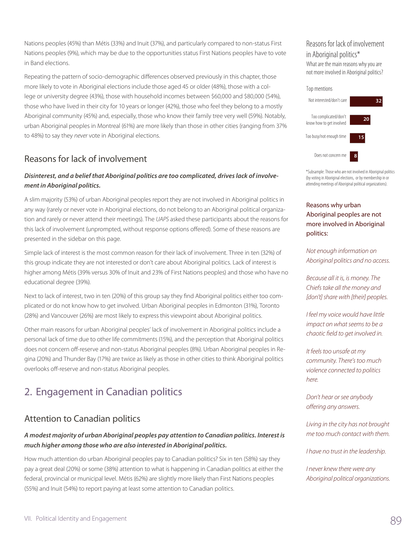Nations peoples (45%) than Métis (33%) and Inuit (37%), and particularly compared to non-status First Nations peoples (9%), which may be due to the opportunities status First Nations peoples have to vote in Band elections.

Repeating the pattern of socio-demographic differences observed previously in this chapter, those more likely to vote in Aboriginal elections include those aged 45 or older (48%), those with a college or university degree (43%), those with household incomes between \$60,000 and \$80,000 (54%), those who have lived in their city for 10 years or longer (42%), those who feel they belong to a mostly Aboriginal community (45%) and, especially, those who know their family tree very well (59%). Notably, urban Aboriginal peoples in Montreal (61%) are more likely than those in other cities (ranging from 37% to 48%) to say they *never* vote in Aboriginal elections.

### Reasons for lack of involvement

#### *Disinterest, and a belief that Aboriginal politics are too complicated, drives lack of involvement in Aboriginal politics.*

A slim majority (53%) of urban Aboriginal peoples report they are not involved in Aboriginal politics in any way (rarely or never vote in Aboriginal elections, do not belong to an Aboriginal political organization and rarely or never attend their meetings). The *UAPS* asked these participants about the reasons for this lack of involvement (unprompted, without response options offered). Some of these reasons are presented in the sidebar on this page.

Simple lack of interest is the most common reason for their lack of involvement. Three in ten (32%) of this group indicate they are not interested or don't care about Aboriginal politics. Lack of interest is higher among Métis (39% versus 30% of Inuit and 23% of First Nations peoples) and those who have no educational degree (39%).

Next to lack of interest, two in ten (20%) of this group say they find Aboriginal politics either too complicated or do not know how to get involved. Urban Aboriginal peoples in Edmonton (31%), Toronto (28%) and Vancouver (26%) are most likely to express this viewpoint about Aboriginal politics.

Other main reasons for urban Aboriginal peoples' lack of involvement in Aboriginal politics include a personal lack of time due to other life commitments (15%), and the perception that Aboriginal politics does not concern off-reserve and non-status Aboriginal peoples (8%). Urban Aboriginal peoples in Regina (20%) and Thunder Bay (17%) are twice as likely as those in other cities to think Aboriginal politics overlooks off-reserve and non-status Aboriginal peoples.

# 2. Engagement in Canadian politics

### Attention to Canadian politics

#### *A modest majority of urban Aboriginal peoples pay attention to Canadian politics. Interest is much higher among those who are also interested in Aboriginal politics.*

How much attention do urban Aboriginal peoples pay to Canadian politics? Six in ten (58%) say they pay a great deal (20%) or some (38%) attention to what is happening in Canadian politics at either the federal, provincial or municipal level. Métis (62%) are slightly more likely than First Nations peoples (55%) and Inuit (54%) to report paying at least some attention to Canadian politics.

### Reasons for lack of involvement in Aboriginal politics\*

What are the main reasons why you are not more involved in Aboriginal politics?



\*Subsample: Those who are not involved in Aboriginal politics (by voting in Aboriginal elections, or by membership in or attending meetings of Aboriginal political organizations).

#### Reasons why urban Aboriginal peoples are not more involved in Aboriginal politics:

*Not enough information on Aboriginal politics and no access.*

*Because all it is, is money. The Chiefs take all the money and [don't] share with [their] peoples.*

*I feel my voice would have little impact on what seems to be a chaotic field to get involved in.*

*It feels too unsafe at my community. There's too much violence connected to politics here.*

*Don't hear or see anybody offering any answers.*

*Living in the city has not brought me too much contact with them.*

*I have no trust in the leadership.*

*I never knew there were any Aboriginal political organizations.*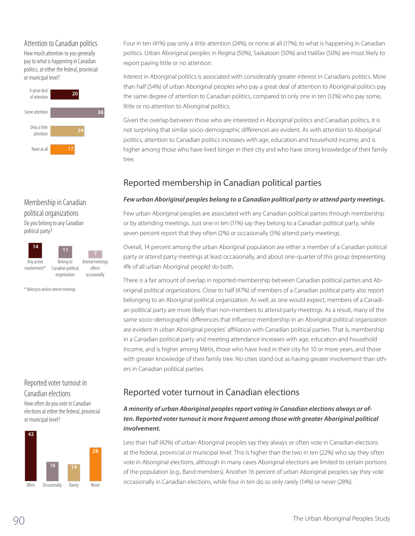#### Attention to Canadian politics

How much attention to you generally pay to what is happening in Canadian politics, at either the federal, provincial or municipal level?



### Membership in Canadian political organizations

Do you belong to any Canadian political party?



\* Belong to and/or attend meetings

#### Reported voter turnout in Canadian elections

How often do you vote in Canadian elections at either the federal, provincial or municipal level?



Four in ten (41%) pay only a little attention (24%), or none at all (17%), to what is happening in Canadian politics. Urban Aboriginal peoples in Regina (50%), Saskatoon (50%) and Halifax (50%) are most likely to report paying little or no attention.

Interest in Aboriginal politics is associated with considerably greater interest in Canadians politics. More than half (54%) of urban Aboriginal peoples who pay a great deal of attention to Aboriginal politics pay the same degree of attention to Canadian politics, compared to only one in ten (12%) who pay some, little or no attention to Aboriginal politics.

Given the overlap between those who are interested in Aboriginal politics and Canadian politics, it is not surprising that similar socio-demographic differences are evident. As with attention to Aboriginal politics, attention to Canadian politics increases with age, education and household income, and is higher among those who have lived longer in their city and who have strong knowledge of their family tree.

## Reported membership in Canadian political parties

#### *Few urban Aboriginal peoples belong to a Canadian political party or attend party meetings.*

Few urban Aboriginal peoples are associated with any Canadian political parties through membership or by attending meetings. Just one in ten (11%) say they belong to a Canadian political party, while seven percent report that they often (2%) or occasionally (5%) attend party meetings.

Overall, 14 percent among the urban Aboriginal population are either a member of a Canadian political party *or* attend party meetings at least occasionally, and about one-quarter of this group (representing 4% of all urban Aboriginal people) do both.

There is a fair amount of overlap in reported membership between Canadian political parties and Aboriginal political organizations. Close to half (47%) of members of a Canadian political party also report belonging to an Aboriginal political organization. As well, as one would expect, members of a Canadian political party are more likely than non-members to attend party meetings. As a result, many of the same socio-demographic differences that influence membership in an Aboriginal political organization are evident in urban Aboriginal peoples' affiliation with Canadian political parties. That is, membership in a Canadian political party and meeting attendance increases with age, education and household income, and is higher among Métis, those who have lived in their city for 10 or more years, and those with greater knowledge of their family tree. No cities stand out as having greater involvement than others in Canadian political parties.

## Reported voter turnout in Canadian elections

### *A minority of urban Aboriginal peoples report voting in Canadian elections always or often. Reported voter turnout is more frequent among those with greater Aboriginal political involvement.*

Less than half (42%) of urban Aboriginal peoples say they always or often vote in Canadian elections at the federal, provincial or municipal level. This is higher than the two in ten (22%) who say they often vote in Aboriginal elections, although in many cases Aboriginal elections are limited to certain portions of the population (e.g., Band members). Another 16 percent of urban Aboriginal peoples say they vote occasionally in Canadian elections, while four in ten do so only rarely (14%) or never (28%).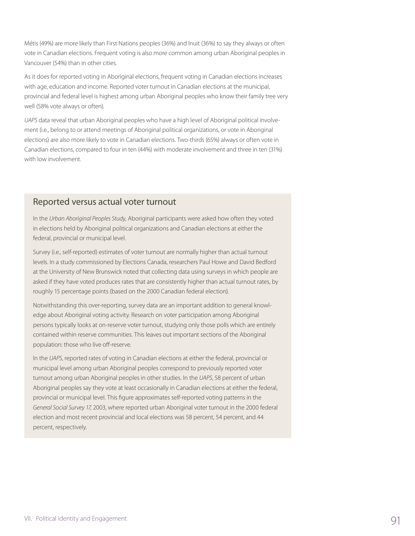Métis (49%) are more likely than First Nations peoples (36%) and Inuit (36%) to say they always or often vote in Canadian elections. Frequent voting is also more common among urban Aboriginal peoples in Vancouver (54%) than in other cities.

As it does for reported voting in Aboriginal elections, frequent voting in Canadian elections increases with age, education and income. Reported voter turnout in Canadian elections at the municipal, provincial and federal level is highest among urban Aboriginal peoples who know their family tree very well (58% vote always or often).

*UAPS* data reveal that urban Aboriginal peoples who have a high level of Aboriginal political involvement (i.e., belong to or attend meetings of Aboriginal political organizations, or vote in Aboriginal elections) are also more likely to vote in Canadian elections. Two-thirds (65%) always or often vote in Canadian elections, compared to four in ten (44%) with moderate involvement and three in ten (31%) with low involvement.

### Reported versus actual voter turnout

In the *Urban Aboriginal Peoples Study,* Aboriginal participants were asked how often they voted in elections held by Aboriginal political organizations and Canadian elections at either the federal, provincial or municipal level.

Survey (i.e., self-reported) estimates of voter turnout are normally higher than actual turnout levels. In a study commissioned by Elections Canada, researchers Paul Howe and David Bedford at the University of New Brunswick noted that collecting data using surveys in which people are asked if they have voted produces rates that are consistently higher than actual turnout rates, by roughly 15 percentage points (based on the 2000 Canadian federal election).

Notwithstanding this over-reporting, survey data are an important addition to general knowledge about Aboriginal voting activity. Research on voter participation among Aboriginal persons typically looks at on-reserve voter turnout, studying only those polls which are entirely contained within reserve communities. This leaves out important sections of the Aboriginal population: those who live off-reserve.

In the *UAPS*, reported rates of voting in Canadian elections at either the federal, provincial or municipal level among urban Aboriginal peoples correspond to previously reported voter turnout among urban Aboriginal peoples in other studies. In the *UAPS*, 58 percent of urban Aboriginal peoples say they vote at least occasionally in Canadian elections at either the federal, provincial or municipal level. This figure approximates self-reported voting patterns in the *General Social Survey 17,* 2003, where reported urban Aboriginal voter turnout in the 2000 federal election and most recent provincial and local elections was 58 percent, 54 percent, and 44 percent, respectively.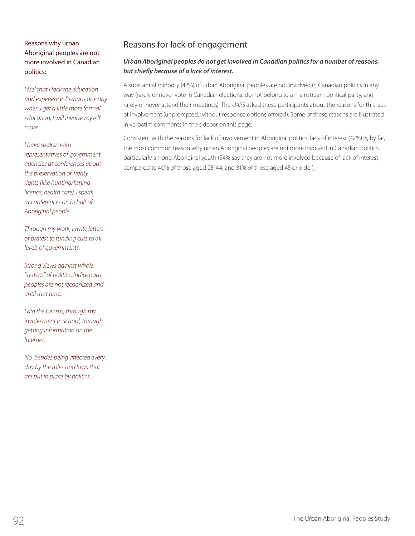#### Reasons why urban Aboriginal peoples are not more involved in Canadian politics:

*I feel that I lack the education and experience. Perhaps one day when I get a little more formal education, I will involve myself more.*

#### *I have spoken with*

*representatives of government agencies at conferences about the preservation of Treaty rights (like hunting/fishing licence, health care). I speak at conferences on behalf of Aboriginal people.*

*Through my work, I write letters of protest to funding cuts to all levels of governments.*

*Strong views against whole "system" of politics. Indigenous peoples are not recognized and until that time...*

*I did the Census, through my involvement in school, through getting information on the Internet.*

*No, besides being affected every day by the rules and laws that are put in place by politics.*

### Reasons for lack of engagement

#### *Urban Aboriginal peoples do not get involved in Canadian politics for a number of reasons, but chiefly because of a lack of interest.*

A substantial minority (42%) of urban Aboriginal peoples are not involved in Canadian politics in any way (rarely or never vote in Canadian elections, do not belong to a mainstream political party, and rarely or never attend their meetings). The *UAPS* asked these participants about the reasons for this lack of involvement (unprompted, without response options offered). Some of these reasons are illustrated in verbatim comments in the sidebar on this page.

Consistent with the reasons for lack of involvement in Aboriginal politics, lack of interest (42%) is, by far, the most common reason why urban Aboriginal peoples are not more involved in Canadian politics, particularly among Aboriginal youth (54% say they are not more involved because of lack of interest, compared to 40% of those aged 25-44, and 31% of those aged 45 or older).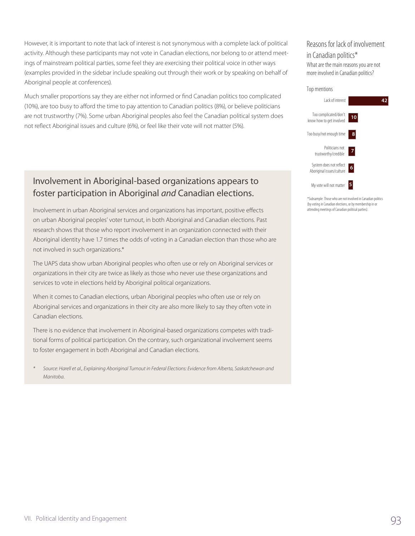However, it is important to note that lack of interest is not synonymous with a complete lack of political activity. Although these participants may not vote in Canadian elections, nor belong to or attend meetings of mainstream political parties, some feel they are exercising their political voice in other ways (examples provided in the sidebar include speaking out through their work or by speaking on behalf of Aboriginal people at conferences).

Much smaller proportions say they are either not informed or find Canadian politics too complicated (10%), are too busy to afford the time to pay attention to Canadian politics (8%), or believe politicians are not trustworthy (7%). Some urban Aboriginal peoples also feel the Canadian political system does not reflect Aboriginal issues and culture (6%), or feel like their vote will not matter (5%).

## Involvement in Aboriginal-based organizations appears to foster participation in Aboriginal *and* Canadian elections.

Involvement in urban Aboriginal services and organizations has important, positive effects on urban Aboriginal peoples' voter turnout, in both Aboriginal and Canadian elections. Past research shows that those who report involvement in an organization connected with their Aboriginal identity have 1.7 times the odds of voting in a Canadian election than those who are not involved in such organizations.\*

The UAPS data show urban Aboriginal peoples who often use or rely on Aboriginal services or organizations in their city are twice as likely as those who never use these organizations and services to vote in elections held by Aboriginal political organizations.

When it comes to Canadian elections, urban Aboriginal peoples who often use or rely on Aboriginal services and organizations in their city are also more likely to say they often vote in Canadian elections.

There is no evidence that involvement in Aboriginal-based organizations competes with traditional forms of political participation. On the contrary, such organizational involvement seems to foster engagement in both Aboriginal and Canadian elections.

*\* Source: Harell et al., Explaining Aboriginal Turnout in Federal Elections: Evidence from Alberta, Saskatchewan and Manitoba.*

#### Reasons for lack of involvement in Canadian politics\* What are the main reasons you are not

more involved in Canadian politics?

#### Top mentions My vote will not matter **5** System does not reflect Aboriginal issues/culture Politicians not trustworthy/credible Too busy/not enough time Too complicated/don't know how to get involved Lack of interest **42 10 8 7 6**

\*Subsample: Those who are not involved in Canadian politics (by voting in Canadian elections, or by membership in or attending meetings of Canadian political parties).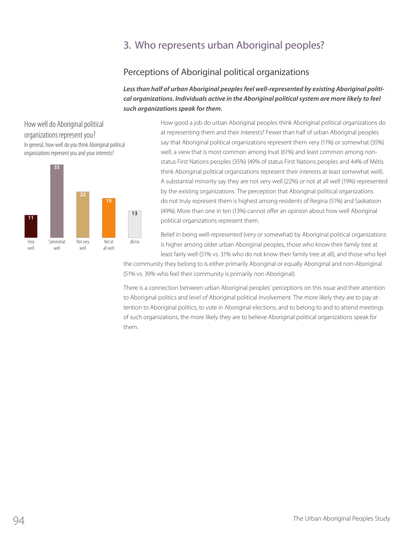# 3. Who represents urban Aboriginal peoples?

## Perceptions of Aboriginal political organizations

*Less than half of urban Aboriginal peoples feel well-represented by existing Aboriginal political organizations. Individuals active in the Aboriginal political system are more likely to feel such organizations speak for them.* 

How well do Aboriginal political organizations represent you? In general, how well do you think Aboriginal political organizations represent you and your interests?



How good a job do urban Aboriginal peoples think Aboriginal political organizations do at representing them and their interests? Fewer than half of urban Aboriginal peoples say that Aboriginal political organizations represent them very (11%) or somewhat (35%) well, a view that is most common among Inuit (61%) and least common among nonstatus First Nations peoples (35%) (49% of status First Nations peoples and 44% of Métis think Aboriginal political organizations represent their interests at least somewhat well). A substantial minority say they are not very well (22%) or not at all well (19%) represented by the existing organizations. The perception that Aboriginal political organizations do not truly represent them is highest among residents of Regina (51%) and Saskatoon (49%). More than one in ten (13%) cannot offer an opinion about how well Aboriginal political organizations represent them.

Belief in being well-represented (very or somewhat) by Aboriginal political organizations is higher among older urban Aboriginal peoples, those who know their family tree at least fairly well (51% vs. 31% who do not know their family tree at all), and those who feel

the community they belong to is either primarily Aboriginal or equally Aboriginal and non-Aboriginal (51% vs. 39% who feel their community is primarily non-Aboriginal).

There is a connection between urban Aboriginal peoples' perceptions on this issue and their attention to Aboriginal politics and level of Aboriginal political involvement. The more likely they are to pay attention to Aboriginal politics, to vote in Aboriginal elections, and to belong to and to attend meetings of such organizations, the more likely they are to believe Aboriginal political organizations speak for them.